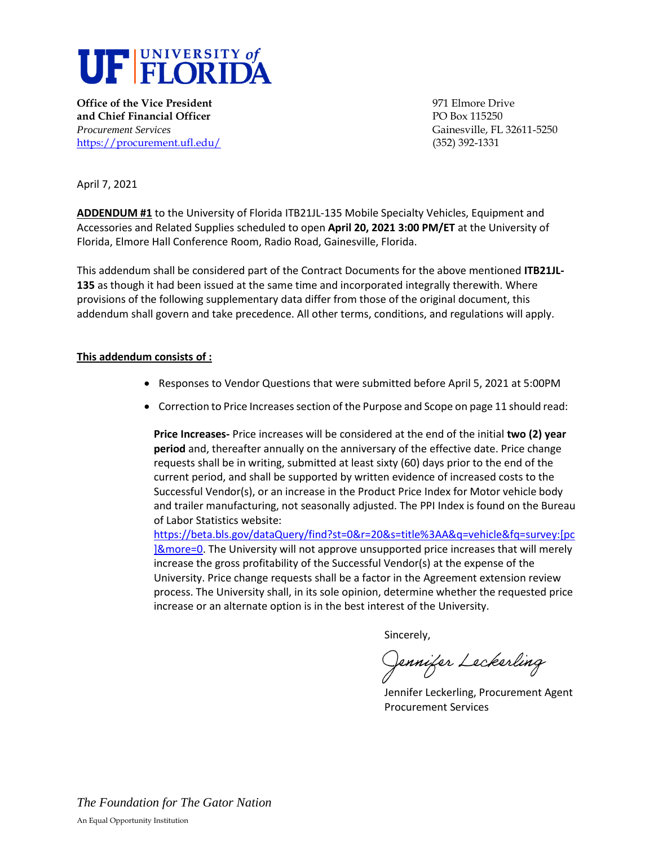

**Office of the Vice President** 1971 Elmore Drive 1971 Elmore Drive **and Chief Financial Officer PO Box 115250** *Procurement Services* Gainesville, FL 32611-5250 <https://procurement.ufl.edu/>(352) 392-1331

April 7, 2021

**ADDENDUM #1** to the University of Florida ITB21JL-135 Mobile Specialty Vehicles, Equipment and Accessories and Related Supplies scheduled to open **April 20, 2021 3:00 PM/ET** at the University of Florida, Elmore Hall Conference Room, Radio Road, Gainesville, Florida.

This addendum shall be considered part of the Contract Documents for the above mentioned **ITB21JL-135** as though it had been issued at the same time and incorporated integrally therewith. Where provisions of the following supplementary data differ from those of the original document, this addendum shall govern and take precedence. All other terms, conditions, and regulations will apply.

## **This addendum consists of :**

- Responses to Vendor Questions that were submitted before April 5, 2021 at 5:00PM
- Correction to Price Increases section of the Purpose and Scope on page 11 should read:

**Price Increases-** Price increases will be considered at the end of the initial **two (2) year period** and, thereafter annually on the anniversary of the effective date. Price change requests shall be in writing, submitted at least sixty (60) days prior to the end of the current period, and shall be supported by written evidence of increased costs to the Successful Vendor(s), or an increase in the Product Price Index for Motor vehicle body and trailer manufacturing, not seasonally adjusted. The PPI Index is found on the Bureau of Labor Statistics website:

[https://beta.bls.gov/dataQuery/find?st=0&r=20&s=title%3AA&q=vehicle&fq=survey:\[pc](https://beta.bls.gov/dataQuery/find?st=0&r=20&s=title%3AA&q=vehicle&fq=survey:%5bpc%5d&more=0) [\]&more=0.](https://beta.bls.gov/dataQuery/find?st=0&r=20&s=title%3AA&q=vehicle&fq=survey:%5bpc%5d&more=0) The University will not approve unsupported price increases that will merely increase the gross profitability of the Successful Vendor(s) at the expense of the University. Price change requests shall be a factor in the Agreement extension review process. The University shall, in its sole opinion, determine whether the requested price increase or an alternate option is in the best interest of the University.

Sincerely,

Jennifer Leckerling

Jennifer Leckerling, Procurement Agent Procurement Services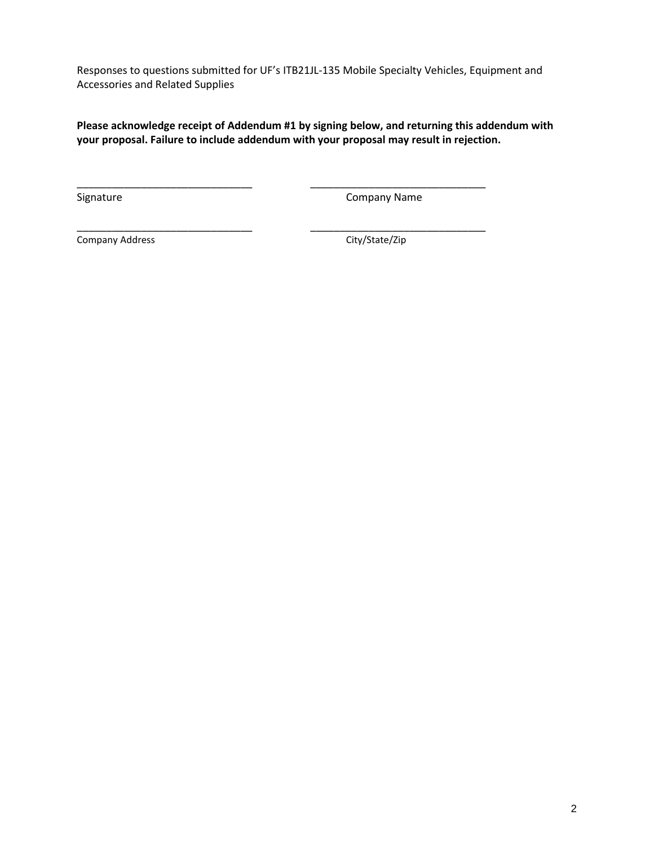Responses to questions submitted for UF's ITB21JL-135 Mobile Specialty Vehicles, Equipment and Accessories and Related Supplies

**Please acknowledge receipt of Addendum #1 by signing below, and returning this addendum with your proposal. Failure to include addendum with your proposal may result in rejection.** 

\_\_\_\_\_\_\_\_\_\_\_\_\_\_\_\_\_\_\_\_\_\_\_\_\_\_\_\_\_\_ \_\_\_\_\_\_\_\_\_\_\_\_\_\_\_\_\_\_\_\_\_\_\_\_\_\_\_\_\_\_

Signature Company Name

\_\_\_\_\_\_\_\_\_\_\_\_\_\_\_\_\_\_\_\_\_\_\_\_\_\_\_\_\_\_ \_\_\_\_\_\_\_\_\_\_\_\_\_\_\_\_\_\_\_\_\_\_\_\_\_\_\_\_\_\_ Company Address Company Address City/State/Zip